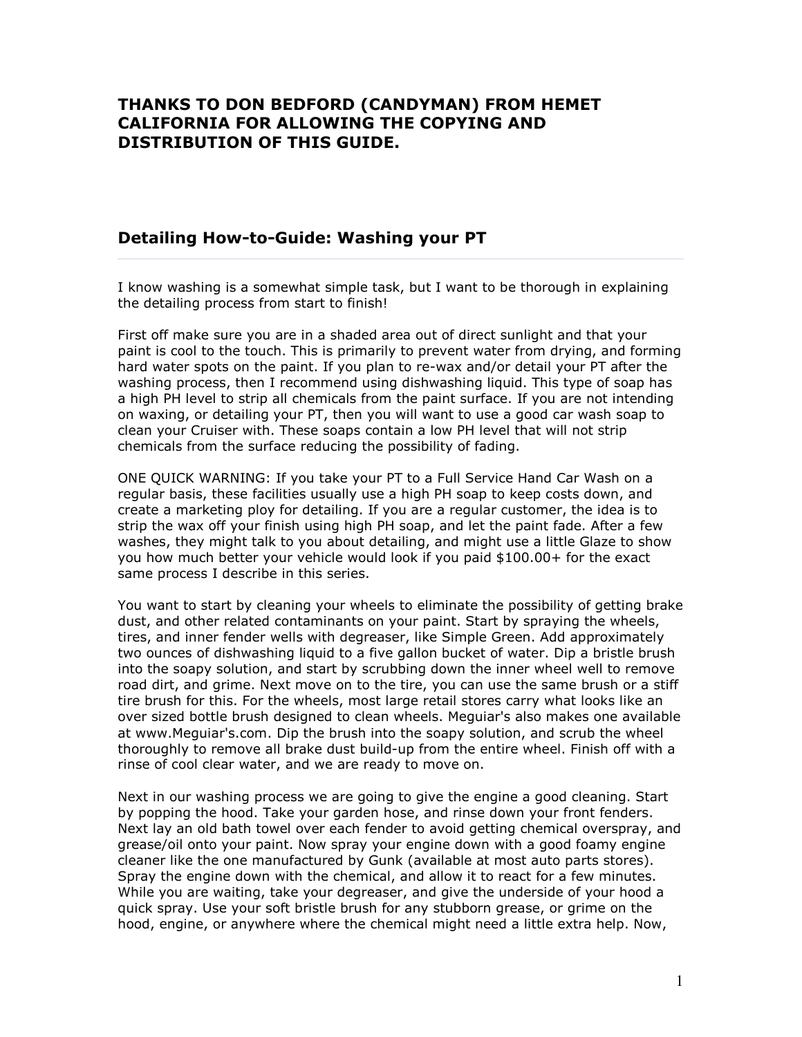## THANKS TO DON BEDFORD (CANDYMAN) FROM HEMET CALIFORNIA FOR ALLOWING THE COPYING AND DISTRIBUTION OF THIS GUIDE.

### Detailing How-to-Guide: Washing your PT

I know washing is a somewhat simple task, but I want to be thorough in explaining the detailing process from start to finish!

First off make sure you are in a shaded area out of direct sunlight and that your paint is cool to the touch. This is primarily to prevent water from drying, and forming hard water spots on the paint. If you plan to re-wax and/or detail your PT after the washing process, then I recommend using dishwashing liquid. This type of soap has a high PH level to strip all chemicals from the paint surface. If you are not intending on waxing, or detailing your PT, then you will want to use a good car wash soap to clean your Cruiser with. These soaps contain a low PH level that will not strip chemicals from the surface reducing the possibility of fading.

ONE QUICK WARNING: If you take your PT to a Full Service Hand Car Wash on a regular basis, these facilities usually use a high PH soap to keep costs down, and create a marketing ploy for detailing. If you are a regular customer, the idea is to strip the wax off your finish using high PH soap, and let the paint fade. After a few washes, they might talk to you about detailing, and might use a little Glaze to show you how much better your vehicle would look if you paid \$100.00+ for the exact same process I describe in this series.

You want to start by cleaning your wheels to eliminate the possibility of getting brake dust, and other related contaminants on your paint. Start by spraying the wheels, tires, and inner fender wells with degreaser, like Simple Green. Add approximately two ounces of dishwashing liquid to a five gallon bucket of water. Dip a bristle brush into the soapy solution, and start by scrubbing down the inner wheel well to remove road dirt, and grime. Next move on to the tire, you can use the same brush or a stiff tire brush for this. For the wheels, most large retail stores carry what looks like an over sized bottle brush designed to clean wheels. Meguiar's also makes one available at www.Meguiar's.com. Dip the brush into the soapy solution, and scrub the wheel thoroughly to remove all brake dust build-up from the entire wheel. Finish off with a rinse of cool clear water, and we are ready to move on.

Next in our washing process we are going to give the engine a good cleaning. Start by popping the hood. Take your garden hose, and rinse down your front fenders. Next lay an old bath towel over each fender to avoid getting chemical overspray, and grease/oil onto your paint. Now spray your engine down with a good foamy engine cleaner like the one manufactured by Gunk (available at most auto parts stores). Spray the engine down with the chemical, and allow it to react for a few minutes. While you are waiting, take your degreaser, and give the underside of your hood a quick spray. Use your soft bristle brush for any stubborn grease, or grime on the hood, engine, or anywhere where the chemical might need a little extra help. Now,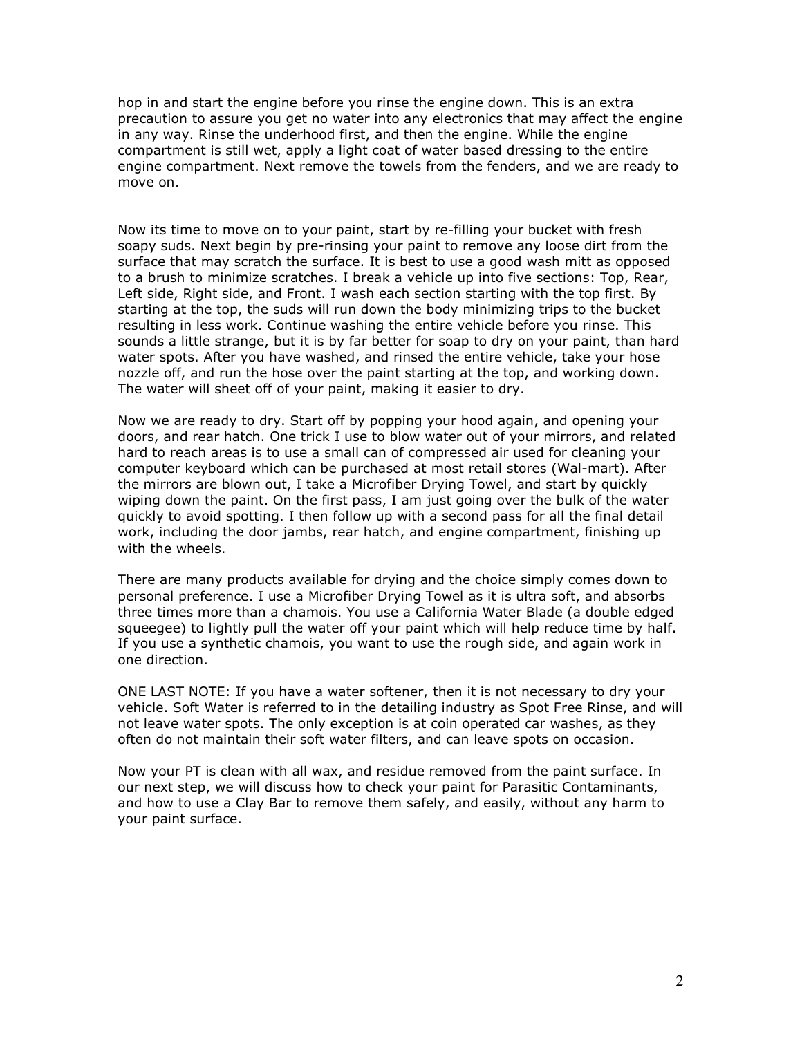hop in and start the engine before you rinse the engine down. This is an extra precaution to assure you get no water into any electronics that may affect the engine in any way. Rinse the underhood first, and then the engine. While the engine compartment is still wet, apply a light coat of water based dressing to the entire engine compartment. Next remove the towels from the fenders, and we are ready to move on.

Now its time to move on to your paint, start by re-filling your bucket with fresh soapy suds. Next begin by pre-rinsing your paint to remove any loose dirt from the surface that may scratch the surface. It is best to use a good wash mitt as opposed to a brush to minimize scratches. I break a vehicle up into five sections: Top, Rear, Left side, Right side, and Front. I wash each section starting with the top first. By starting at the top, the suds will run down the body minimizing trips to the bucket resulting in less work. Continue washing the entire vehicle before you rinse. This sounds a little strange, but it is by far better for soap to dry on your paint, than hard water spots. After you have washed, and rinsed the entire vehicle, take your hose nozzle off, and run the hose over the paint starting at the top, and working down. The water will sheet off of your paint, making it easier to dry.

Now we are ready to dry. Start off by popping your hood again, and opening your doors, and rear hatch. One trick I use to blow water out of your mirrors, and related hard to reach areas is to use a small can of compressed air used for cleaning your computer keyboard which can be purchased at most retail stores (Wal-mart). After the mirrors are blown out, I take a Microfiber Drying Towel, and start by quickly wiping down the paint. On the first pass, I am just going over the bulk of the water quickly to avoid spotting. I then follow up with a second pass for all the final detail work, including the door jambs, rear hatch, and engine compartment, finishing up with the wheels.

There are many products available for drying and the choice simply comes down to personal preference. I use a Microfiber Drying Towel as it is ultra soft, and absorbs three times more than a chamois. You use a California Water Blade (a double edged squeegee) to lightly pull the water off your paint which will help reduce time by half. If you use a synthetic chamois, you want to use the rough side, and again work in one direction.

ONE LAST NOTE: If you have a water softener, then it is not necessary to dry your vehicle. Soft Water is referred to in the detailing industry as Spot Free Rinse, and will not leave water spots. The only exception is at coin operated car washes, as they often do not maintain their soft water filters, and can leave spots on occasion.

Now your PT is clean with all wax, and residue removed from the paint surface. In our next step, we will discuss how to check your paint for Parasitic Contaminants, and how to use a Clay Bar to remove them safely, and easily, without any harm to your paint surface.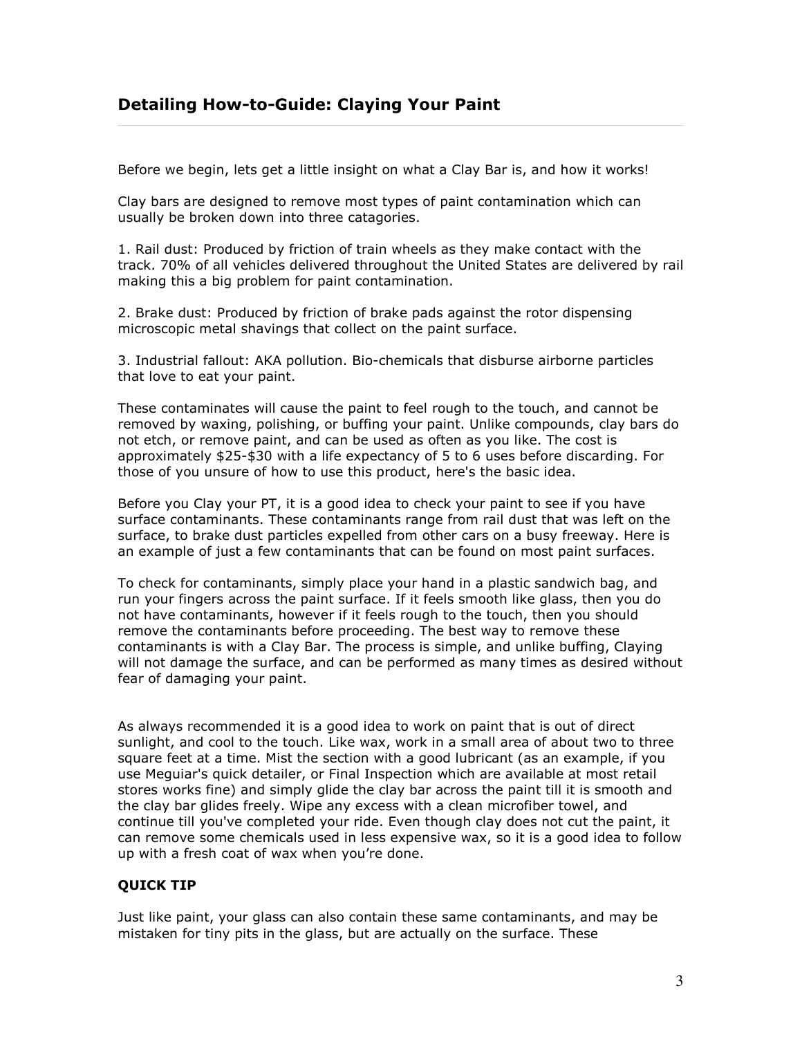Before we begin, lets get a little insight on what a Clay Bar is, and how it works!

Clay bars are designed to remove most types of paint contamination which can usually be broken down into three catagories.

1. Rail dust: Produced by friction of train wheels as they make contact with the track. 70% of all vehicles delivered throughout the United States are delivered by rail making this a big problem for paint contamination.

2. Brake dust: Produced by friction of brake pads against the rotor dispensing microscopic metal shavings that collect on the paint surface.

3. Industrial fallout: AKA pollution. Bio-chemicals that disburse airborne particles that love to eat your paint.

These contaminates will cause the paint to feel rough to the touch, and cannot be removed by waxing, polishing, or buffing your paint. Unlike compounds, clay bars do not etch, or remove paint, and can be used as often as you like. The cost is approximately \$25-\$30 with a life expectancy of 5 to 6 uses before discarding. For those of you unsure of how to use this product, here's the basic idea.

Before you Clay your PT, it is a good idea to check your paint to see if you have surface contaminants. These contaminants range from rail dust that was left on the surface, to brake dust particles expelled from other cars on a busy freeway. Here is an example of just a few contaminants that can be found on most paint surfaces.

To check for contaminants, simply place your hand in a plastic sandwich bag, and run your fingers across the paint surface. If it feels smooth like glass, then you do not have contaminants, however if it feels rough to the touch, then you should remove the contaminants before proceeding. The best way to remove these contaminants is with a Clay Bar. The process is simple, and unlike buffing, Claying will not damage the surface, and can be performed as many times as desired without fear of damaging your paint.

As always recommended it is a good idea to work on paint that is out of direct sunlight, and cool to the touch. Like wax, work in a small area of about two to three square feet at a time. Mist the section with a good lubricant (as an example, if you use Meguiar's quick detailer, or Final Inspection which are available at most retail stores works fine) and simply glide the clay bar across the paint till it is smooth and the clay bar glides freely. Wipe any excess with a clean microfiber towel, and continue till you've completed your ride. Even though clay does not cut the paint, it can remove some chemicals used in less expensive wax, so it is a good idea to follow up with a fresh coat of wax when you're done.

### QUICK TIP

Just like paint, your glass can also contain these same contaminants, and may be mistaken for tiny pits in the glass, but are actually on the surface. These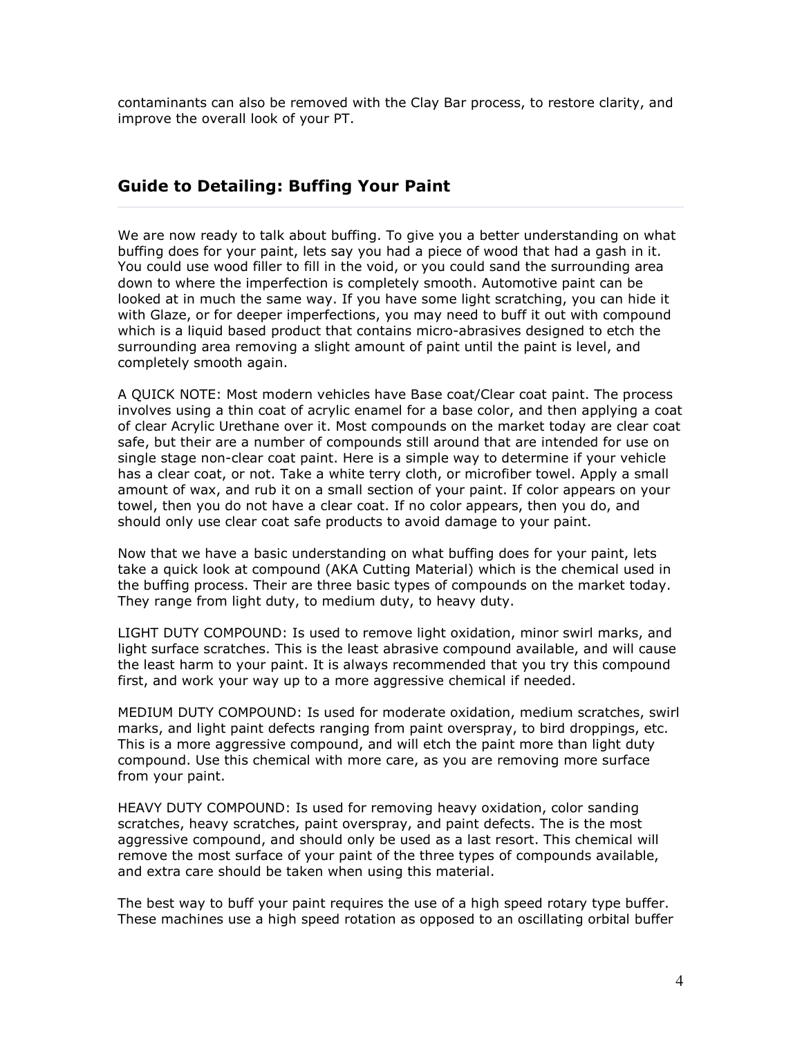contaminants can also be removed with the Clay Bar process, to restore clarity, and improve the overall look of your PT.

# Guide to Detailing: Buffing Your Paint

We are now ready to talk about buffing. To give you a better understanding on what buffing does for your paint, lets say you had a piece of wood that had a gash in it. You could use wood filler to fill in the void, or you could sand the surrounding area down to where the imperfection is completely smooth. Automotive paint can be looked at in much the same way. If you have some light scratching, you can hide it with Glaze, or for deeper imperfections, you may need to buff it out with compound which is a liquid based product that contains micro-abrasives designed to etch the surrounding area removing a slight amount of paint until the paint is level, and completely smooth again.

A QUICK NOTE: Most modern vehicles have Base coat/Clear coat paint. The process involves using a thin coat of acrylic enamel for a base color, and then applying a coat of clear Acrylic Urethane over it. Most compounds on the market today are clear coat safe, but their are a number of compounds still around that are intended for use on single stage non-clear coat paint. Here is a simple way to determine if your vehicle has a clear coat, or not. Take a white terry cloth, or microfiber towel. Apply a small amount of wax, and rub it on a small section of your paint. If color appears on your towel, then you do not have a clear coat. If no color appears, then you do, and should only use clear coat safe products to avoid damage to your paint.

Now that we have a basic understanding on what buffing does for your paint, lets take a quick look at compound (AKA Cutting Material) which is the chemical used in the buffing process. Their are three basic types of compounds on the market today. They range from light duty, to medium duty, to heavy duty.

LIGHT DUTY COMPOUND: Is used to remove light oxidation, minor swirl marks, and light surface scratches. This is the least abrasive compound available, and will cause the least harm to your paint. It is always recommended that you try this compound first, and work your way up to a more aggressive chemical if needed.

MEDIUM DUTY COMPOUND: Is used for moderate oxidation, medium scratches, swirl marks, and light paint defects ranging from paint overspray, to bird droppings, etc. This is a more aggressive compound, and will etch the paint more than light duty compound. Use this chemical with more care, as you are removing more surface from your paint.

HEAVY DUTY COMPOUND: Is used for removing heavy oxidation, color sanding scratches, heavy scratches, paint overspray, and paint defects. The is the most aggressive compound, and should only be used as a last resort. This chemical will remove the most surface of your paint of the three types of compounds available, and extra care should be taken when using this material.

The best way to buff your paint requires the use of a high speed rotary type buffer. These machines use a high speed rotation as opposed to an oscillating orbital buffer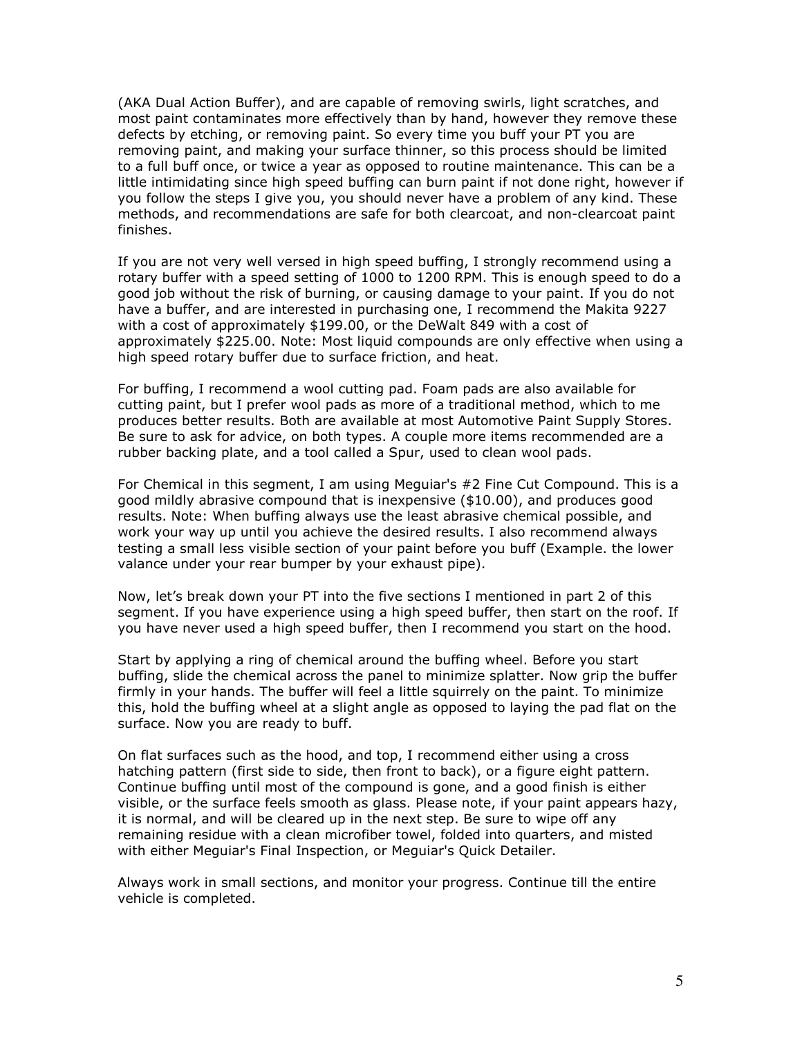(AKA Dual Action Buffer), and are capable of removing swirls, light scratches, and most paint contaminates more effectively than by hand, however they remove these defects by etching, or removing paint. So every time you buff your PT you are removing paint, and making your surface thinner, so this process should be limited to a full buff once, or twice a year as opposed to routine maintenance. This can be a little intimidating since high speed buffing can burn paint if not done right, however if you follow the steps I give you, you should never have a problem of any kind. These methods, and recommendations are safe for both clearcoat, and non-clearcoat paint finishes.

If you are not very well versed in high speed buffing, I strongly recommend using a rotary buffer with a speed setting of 1000 to 1200 RPM. This is enough speed to do a good job without the risk of burning, or causing damage to your paint. If you do not have a buffer, and are interested in purchasing one, I recommend the Makita 9227 with a cost of approximately \$199.00, or the DeWalt 849 with a cost of approximately \$225.00. Note: Most liquid compounds are only effective when using a high speed rotary buffer due to surface friction, and heat.

For buffing, I recommend a wool cutting pad. Foam pads are also available for cutting paint, but I prefer wool pads as more of a traditional method, which to me produces better results. Both are available at most Automotive Paint Supply Stores. Be sure to ask for advice, on both types. A couple more items recommended are a rubber backing plate, and a tool called a Spur, used to clean wool pads.

For Chemical in this segment, I am using Meguiar's #2 Fine Cut Compound. This is a good mildly abrasive compound that is inexpensive (\$10.00), and produces good results. Note: When buffing always use the least abrasive chemical possible, and work your way up until you achieve the desired results. I also recommend always testing a small less visible section of your paint before you buff (Example. the lower valance under your rear bumper by your exhaust pipe).

Now, let's break down your PT into the five sections I mentioned in part 2 of this segment. If you have experience using a high speed buffer, then start on the roof. If you have never used a high speed buffer, then I recommend you start on the hood.

Start by applying a ring of chemical around the buffing wheel. Before you start buffing, slide the chemical across the panel to minimize splatter. Now grip the buffer firmly in your hands. The buffer will feel a little squirrely on the paint. To minimize this, hold the buffing wheel at a slight angle as opposed to laying the pad flat on the surface. Now you are ready to buff.

On flat surfaces such as the hood, and top, I recommend either using a cross hatching pattern (first side to side, then front to back), or a figure eight pattern. Continue buffing until most of the compound is gone, and a good finish is either visible, or the surface feels smooth as glass. Please note, if your paint appears hazy, it is normal, and will be cleared up in the next step. Be sure to wipe off any remaining residue with a clean microfiber towel, folded into quarters, and misted with either Meguiar's Final Inspection, or Meguiar's Quick Detailer.

Always work in small sections, and monitor your progress. Continue till the entire vehicle is completed.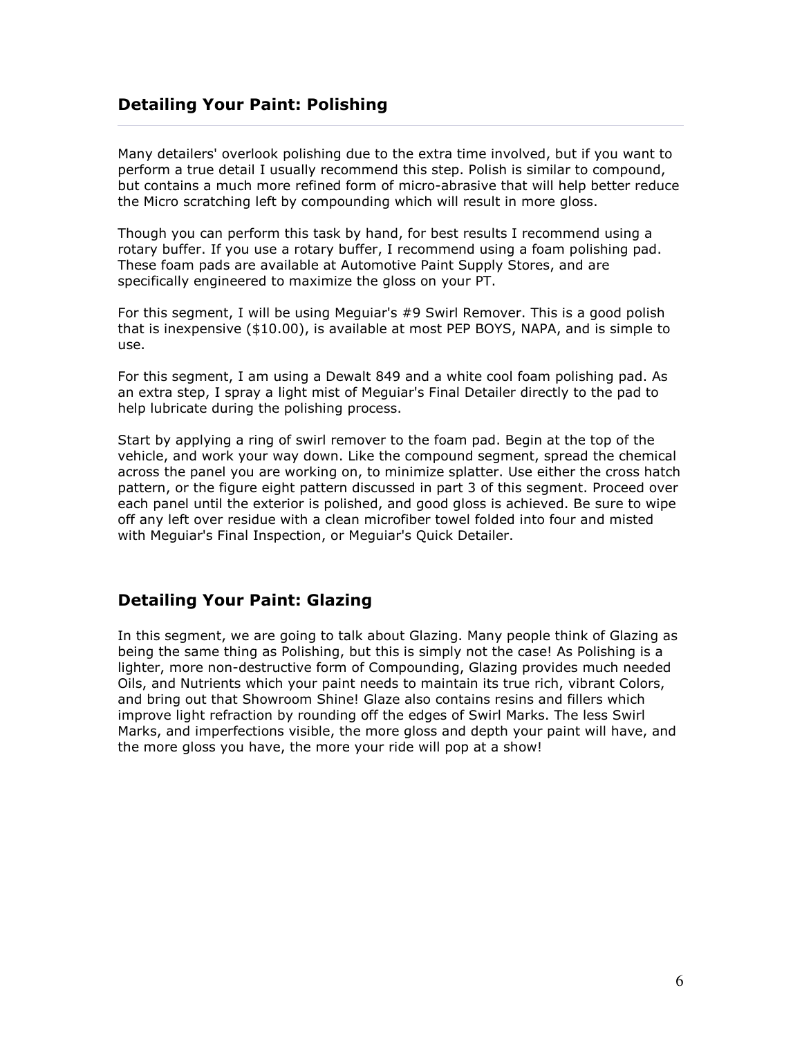# Detailing Your Paint: Polishing

Many detailers' overlook polishing due to the extra time involved, but if you want to perform a true detail I usually recommend this step. Polish is similar to compound, but contains a much more refined form of micro-abrasive that will help better reduce the Micro scratching left by compounding which will result in more gloss.

Though you can perform this task by hand, for best results I recommend using a rotary buffer. If you use a rotary buffer, I recommend using a foam polishing pad. These foam pads are available at Automotive Paint Supply Stores, and are specifically engineered to maximize the gloss on your PT.

For this segment, I will be using Meguiar's #9 Swirl Remover. This is a good polish that is inexpensive (\$10.00), is available at most PEP BOYS, NAPA, and is simple to use.

For this segment, I am using a Dewalt 849 and a white cool foam polishing pad. As an extra step, I spray a light mist of Meguiar's Final Detailer directly to the pad to help lubricate during the polishing process.

Start by applying a ring of swirl remover to the foam pad. Begin at the top of the vehicle, and work your way down. Like the compound segment, spread the chemical across the panel you are working on, to minimize splatter. Use either the cross hatch pattern, or the figure eight pattern discussed in part 3 of this segment. Proceed over each panel until the exterior is polished, and good gloss is achieved. Be sure to wipe off any left over residue with a clean microfiber towel folded into four and misted with Meguiar's Final Inspection, or Meguiar's Quick Detailer.

# Detailing Your Paint: Glazing

In this segment, we are going to talk about Glazing. Many people think of Glazing as being the same thing as Polishing, but this is simply not the case! As Polishing is a lighter, more non-destructive form of Compounding, Glazing provides much needed Oils, and Nutrients which your paint needs to maintain its true rich, vibrant Colors, and bring out that Showroom Shine! Glaze also contains resins and fillers which improve light refraction by rounding off the edges of Swirl Marks. The less Swirl Marks, and imperfections visible, the more gloss and depth your paint will have, and the more gloss you have, the more your ride will pop at a show!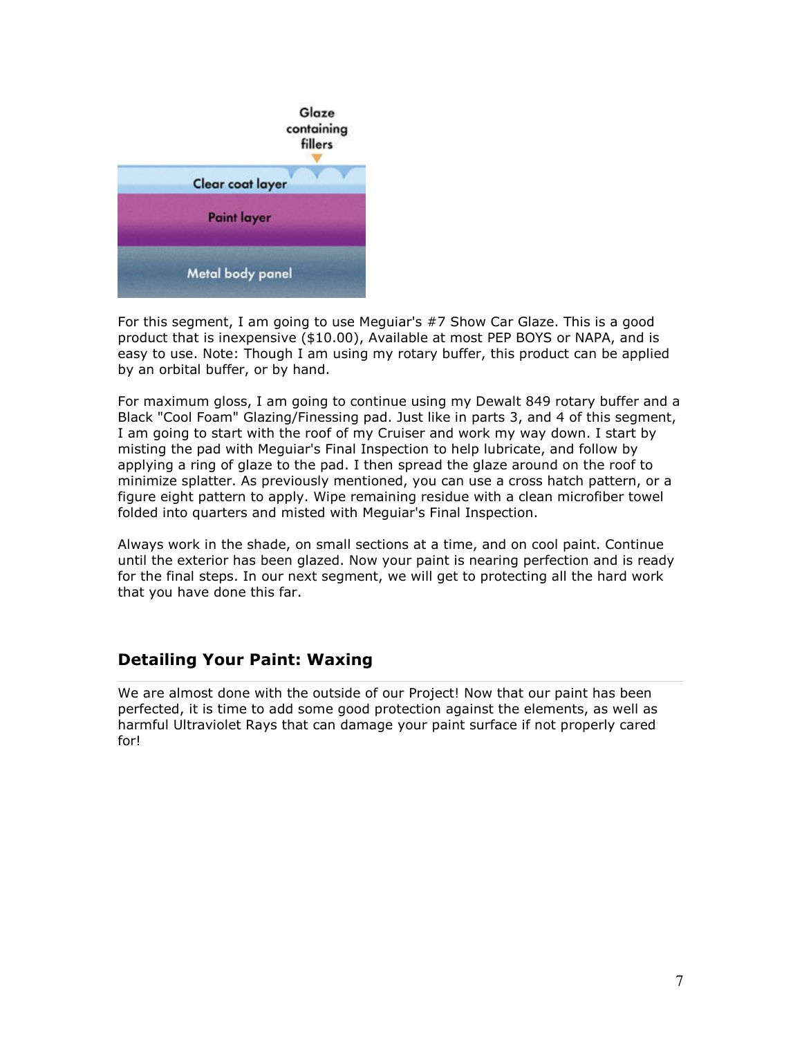

For this segment, I am going to use Meguiar's #7 Show Car Glaze. This is a good product that is inexpensive (\$10.00), Available at most PEP BOYS or NAPA, and is easy to use. Note: Though I am using my rotary buffer, this product can be applied by an orbital buffer, or by hand.

For maximum gloss, I am going to continue using my Dewalt 849 rotary buffer and a Black "Cool Foam" Glazing/Finessing pad. Just like in parts 3, and 4 of this segment, I am going to start with the roof of my Cruiser and work my way down. I start by misting the pad with Meguiar's Final Inspection to help lubricate, and follow by applying a ring of glaze to the pad. I then spread the glaze around on the roof to minimize splatter. As previously mentioned, you can use a cross hatch pattern, or a figure eight pattern to apply. Wipe remaining residue with a clean microfiber towel folded into quarters and misted with Meguiar's Final Inspection.

Always work in the shade, on small sections at a time, and on cool paint. Continue until the exterior has been glazed. Now your paint is nearing perfection and is ready for the final steps. In our next segment, we will get to protecting all the hard work that you have done this far.

# Detailing Your Paint: Waxing

We are almost done with the outside of our Project! Now that our paint has been perfected, it is time to add some good protection against the elements, as well as harmful Ultraviolet Rays that can damage your paint surface if not properly cared for!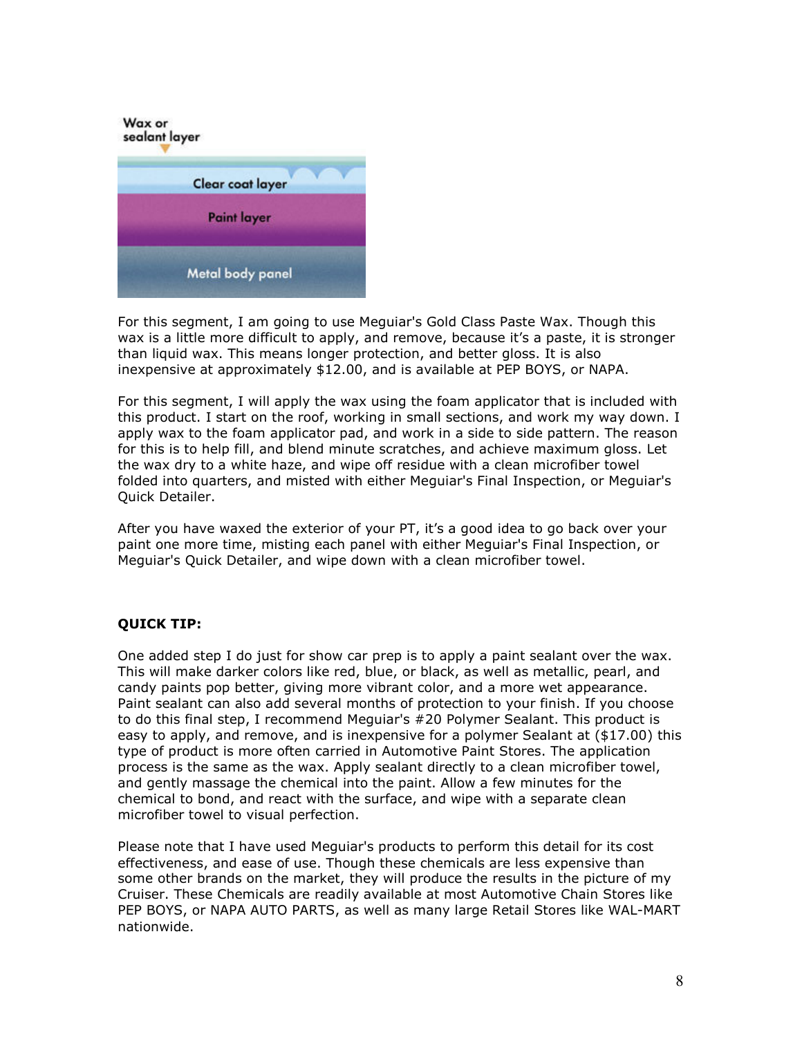

For this segment, I am going to use Meguiar's Gold Class Paste Wax. Though this wax is a little more difficult to apply, and remove, because it's a paste, it is stronger than liquid wax. This means longer protection, and better gloss. It is also inexpensive at approximately \$12.00, and is available at PEP BOYS, or NAPA.

For this segment, I will apply the wax using the foam applicator that is included with this product. I start on the roof, working in small sections, and work my way down. I apply wax to the foam applicator pad, and work in a side to side pattern. The reason for this is to help fill, and blend minute scratches, and achieve maximum gloss. Let the wax dry to a white haze, and wipe off residue with a clean microfiber towel folded into quarters, and misted with either Meguiar's Final Inspection, or Meguiar's Quick Detailer.

After you have waxed the exterior of your PT, it's a good idea to go back over your paint one more time, misting each panel with either Meguiar's Final Inspection, or Meguiar's Quick Detailer, and wipe down with a clean microfiber towel.

#### QUICK TIP:

One added step I do just for show car prep is to apply a paint sealant over the wax. This will make darker colors like red, blue, or black, as well as metallic, pearl, and candy paints pop better, giving more vibrant color, and a more wet appearance. Paint sealant can also add several months of protection to your finish. If you choose to do this final step, I recommend Meguiar's #20 Polymer Sealant. This product is easy to apply, and remove, and is inexpensive for a polymer Sealant at (\$17.00) this type of product is more often carried in Automotive Paint Stores. The application process is the same as the wax. Apply sealant directly to a clean microfiber towel, and gently massage the chemical into the paint. Allow a few minutes for the chemical to bond, and react with the surface, and wipe with a separate clean microfiber towel to visual perfection.

Please note that I have used Meguiar's products to perform this detail for its cost effectiveness, and ease of use. Though these chemicals are less expensive than some other brands on the market, they will produce the results in the picture of my Cruiser. These Chemicals are readily available at most Automotive Chain Stores like PEP BOYS, or NAPA AUTO PARTS, as well as many large Retail Stores like WAL-MART nationwide.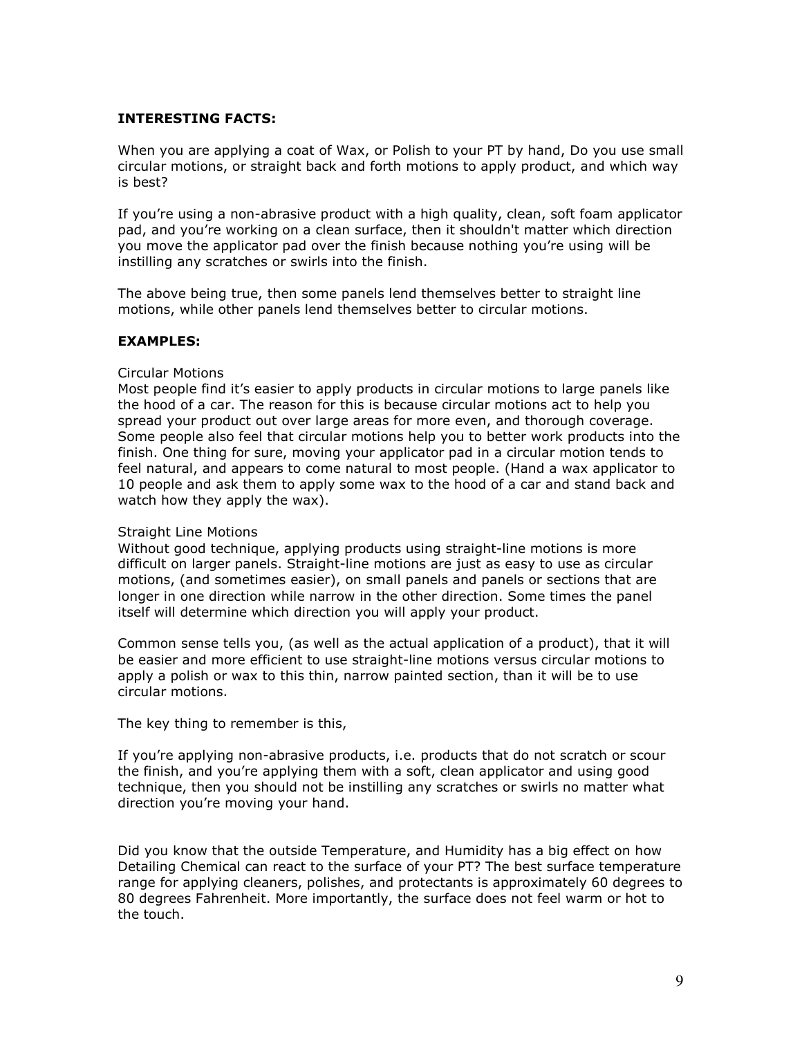#### INTERESTING FACTS:

When you are applying a coat of Wax, or Polish to your PT by hand, Do you use small circular motions, or straight back and forth motions to apply product, and which way is best?

If you're using a non-abrasive product with a high quality, clean, soft foam applicator pad, and you're working on a clean surface, then it shouldn't matter which direction you move the applicator pad over the finish because nothing you're using will be instilling any scratches or swirls into the finish.

The above being true, then some panels lend themselves better to straight line motions, while other panels lend themselves better to circular motions.

#### EXAMPLES:

#### Circular Motions

Most people find it's easier to apply products in circular motions to large panels like the hood of a car. The reason for this is because circular motions act to help you spread your product out over large areas for more even, and thorough coverage. Some people also feel that circular motions help you to better work products into the finish. One thing for sure, moving your applicator pad in a circular motion tends to feel natural, and appears to come natural to most people. (Hand a wax applicator to 10 people and ask them to apply some wax to the hood of a car and stand back and watch how they apply the wax).

#### Straight Line Motions

Without good technique, applying products using straight-line motions is more difficult on larger panels. Straight-line motions are just as easy to use as circular motions, (and sometimes easier), on small panels and panels or sections that are longer in one direction while narrow in the other direction. Some times the panel itself will determine which direction you will apply your product.

Common sense tells you, (as well as the actual application of a product), that it will be easier and more efficient to use straight-line motions versus circular motions to apply a polish or wax to this thin, narrow painted section, than it will be to use circular motions.

The key thing to remember is this,

If you're applying non-abrasive products, i.e. products that do not scratch or scour the finish, and you're applying them with a soft, clean applicator and using good technique, then you should not be instilling any scratches or swirls no matter what direction you're moving your hand.

Did you know that the outside Temperature, and Humidity has a big effect on how Detailing Chemical can react to the surface of your PT? The best surface temperature range for applying cleaners, polishes, and protectants is approximately 60 degrees to 80 degrees Fahrenheit. More importantly, the surface does not feel warm or hot to the touch.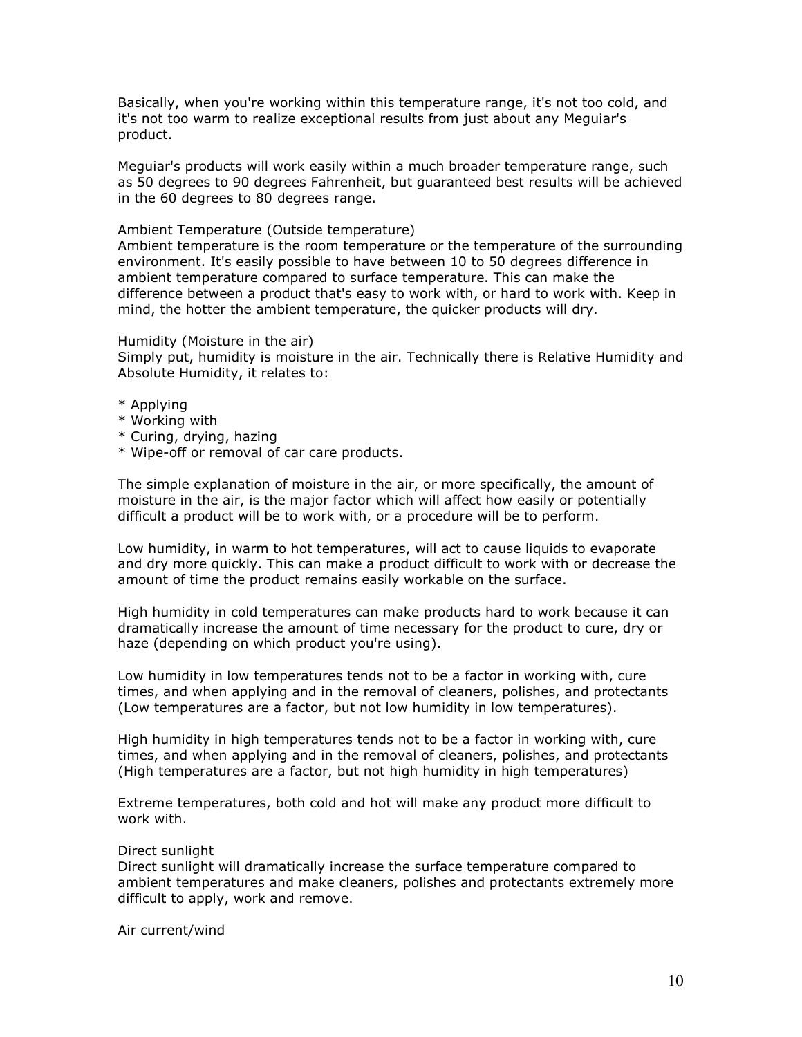Basically, when you're working within this temperature range, it's not too cold, and it's not too warm to realize exceptional results from just about any Meguiar's product.

Meguiar's products will work easily within a much broader temperature range, such as 50 degrees to 90 degrees Fahrenheit, but guaranteed best results will be achieved in the 60 degrees to 80 degrees range.

#### Ambient Temperature (Outside temperature)

Ambient temperature is the room temperature or the temperature of the surrounding environment. It's easily possible to have between 10 to 50 degrees difference in ambient temperature compared to surface temperature. This can make the difference between a product that's easy to work with, or hard to work with. Keep in mind, the hotter the ambient temperature, the quicker products will dry.

#### Humidity (Moisture in the air)

Simply put, humidity is moisture in the air. Technically there is Relative Humidity and Absolute Humidity, it relates to:

- \* Applying
- \* Working with
- \* Curing, drying, hazing
- \* Wipe-off or removal of car care products.

The simple explanation of moisture in the air, or more specifically, the amount of moisture in the air, is the major factor which will affect how easily or potentially difficult a product will be to work with, or a procedure will be to perform.

Low humidity, in warm to hot temperatures, will act to cause liquids to evaporate and dry more quickly. This can make a product difficult to work with or decrease the amount of time the product remains easily workable on the surface.

High humidity in cold temperatures can make products hard to work because it can dramatically increase the amount of time necessary for the product to cure, dry or haze (depending on which product you're using).

Low humidity in low temperatures tends not to be a factor in working with, cure times, and when applying and in the removal of cleaners, polishes, and protectants (Low temperatures are a factor, but not low humidity in low temperatures).

High humidity in high temperatures tends not to be a factor in working with, cure times, and when applying and in the removal of cleaners, polishes, and protectants (High temperatures are a factor, but not high humidity in high temperatures)

Extreme temperatures, both cold and hot will make any product more difficult to work with.

#### Direct sunlight

Direct sunlight will dramatically increase the surface temperature compared to ambient temperatures and make cleaners, polishes and protectants extremely more difficult to apply, work and remove.

Air current/wind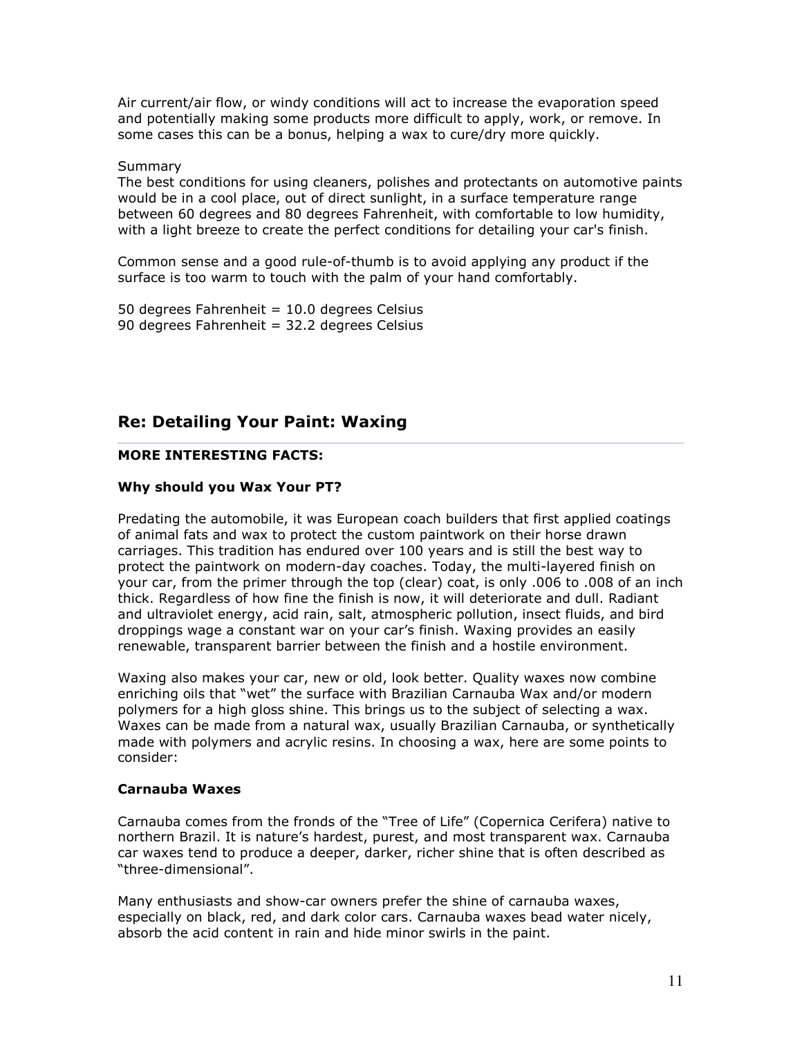Air current/air flow, or windy conditions will act to increase the evaporation speed and potentially making some products more difficult to apply, work, or remove. In some cases this can be a bonus, helping a wax to cure/dry more quickly.

#### Summary

The best conditions for using cleaners, polishes and protectants on automotive paints would be in a cool place, out of direct sunlight, in a surface temperature range between 60 degrees and 80 degrees Fahrenheit, with comfortable to low humidity, with a light breeze to create the perfect conditions for detailing your car's finish.

Common sense and a good rule-of-thumb is to avoid applying any product if the surface is too warm to touch with the palm of your hand comfortably.

50 degrees Fahrenheit =  $10.0$  degrees Celsius 90 degrees Fahrenheit = 32.2 degrees Celsius

## Re: Detailing Your Paint: Waxing

#### MORE INTERESTING FACTS:

#### Why should you Wax Your PT?

Predating the automobile, it was European coach builders that first applied coatings of animal fats and wax to protect the custom paintwork on their horse drawn carriages. This tradition has endured over 100 years and is still the best way to protect the paintwork on modern-day coaches. Today, the multi-layered finish on your car, from the primer through the top (clear) coat, is only .006 to .008 of an inch thick. Regardless of how fine the finish is now, it will deteriorate and dull. Radiant and ultraviolet energy, acid rain, salt, atmospheric pollution, insect fluids, and bird droppings wage a constant war on your car's finish. Waxing provides an easily renewable, transparent barrier between the finish and a hostile environment.

Waxing also makes your car, new or old, look better. Quality waxes now combine enriching oils that "wet" the surface with Brazilian Carnauba Wax and/or modern polymers for a high gloss shine. This brings us to the subject of selecting a wax. Waxes can be made from a natural wax, usually Brazilian Carnauba, or synthetically made with polymers and acrylic resins. In choosing a wax, here are some points to consider:

#### Carnauba Waxes

Carnauba comes from the fronds of the "Tree of Life" (Copernica Cerifera) native to northern Brazil. It is nature's hardest, purest, and most transparent wax. Carnauba car waxes tend to produce a deeper, darker, richer shine that is often described as "three-dimensional".

Many enthusiasts and show-car owners prefer the shine of carnauba waxes, especially on black, red, and dark color cars. Carnauba waxes bead water nicely, absorb the acid content in rain and hide minor swirls in the paint.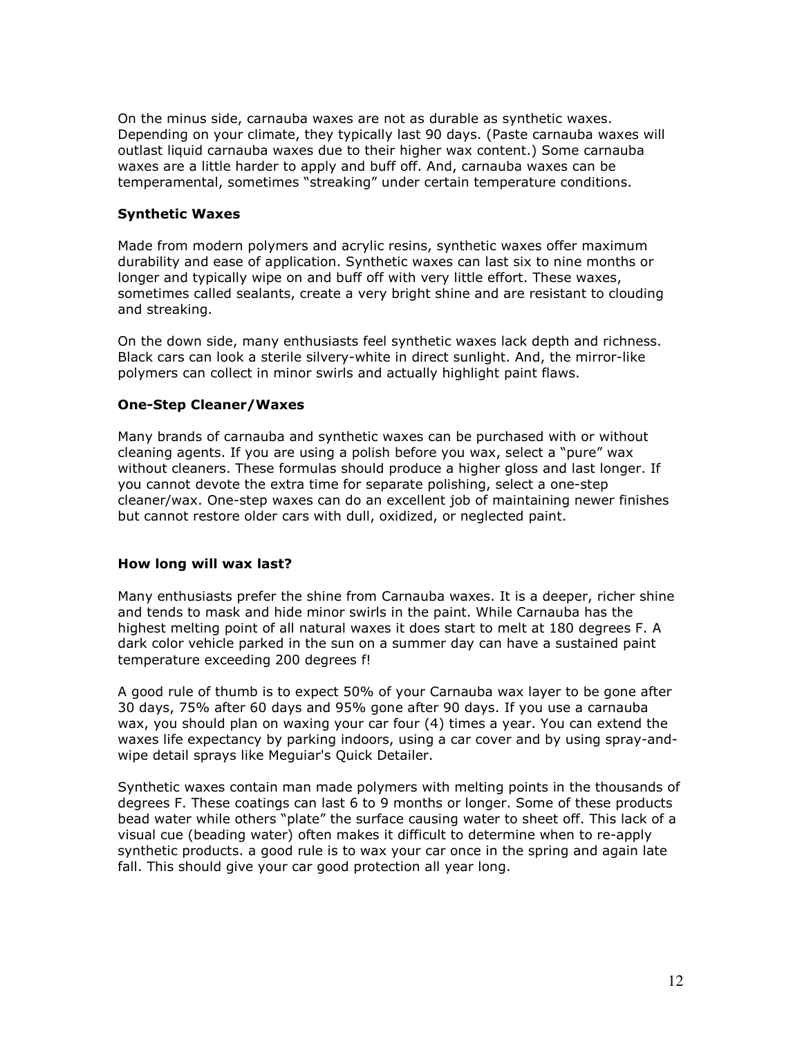On the minus side, carnauba waxes are not as durable as synthetic waxes. Depending on your climate, they typically last 90 days. (Paste carnauba waxes will outlast liquid carnauba waxes due to their higher wax content.) Some carnauba waxes are a little harder to apply and buff off. And, carnauba waxes can be temperamental, sometimes "streaking" under certain temperature conditions.

#### Synthetic Waxes

Made from modern polymers and acrylic resins, synthetic waxes offer maximum durability and ease of application. Synthetic waxes can last six to nine months or longer and typically wipe on and buff off with very little effort. These waxes, sometimes called sealants, create a very bright shine and are resistant to clouding and streaking.

On the down side, many enthusiasts feel synthetic waxes lack depth and richness. Black cars can look a sterile silvery-white in direct sunlight. And, the mirror-like polymers can collect in minor swirls and actually highlight paint flaws.

#### One-Step Cleaner/Waxes

Many brands of carnauba and synthetic waxes can be purchased with or without cleaning agents. If you are using a polish before you wax, select a "pure" wax without cleaners. These formulas should produce a higher gloss and last longer. If you cannot devote the extra time for separate polishing, select a one-step cleaner/wax. One-step waxes can do an excellent job of maintaining newer finishes but cannot restore older cars with dull, oxidized, or neglected paint.

#### How long will wax last?

Many enthusiasts prefer the shine from Carnauba waxes. It is a deeper, richer shine and tends to mask and hide minor swirls in the paint. While Carnauba has the highest melting point of all natural waxes it does start to melt at 180 degrees F. A dark color vehicle parked in the sun on a summer day can have a sustained paint temperature exceeding 200 degrees f!

A good rule of thumb is to expect 50% of your Carnauba wax layer to be gone after 30 days, 75% after 60 days and 95% gone after 90 days. If you use a carnauba wax, you should plan on waxing your car four (4) times a year. You can extend the waxes life expectancy by parking indoors, using a car cover and by using spray-andwipe detail sprays like Meguiar's Quick Detailer.

Synthetic waxes contain man made polymers with melting points in the thousands of degrees F. These coatings can last 6 to 9 months or longer. Some of these products bead water while others "plate" the surface causing water to sheet off. This lack of a visual cue (beading water) often makes it difficult to determine when to re-apply synthetic products. a good rule is to wax your car once in the spring and again late fall. This should give your car good protection all year long.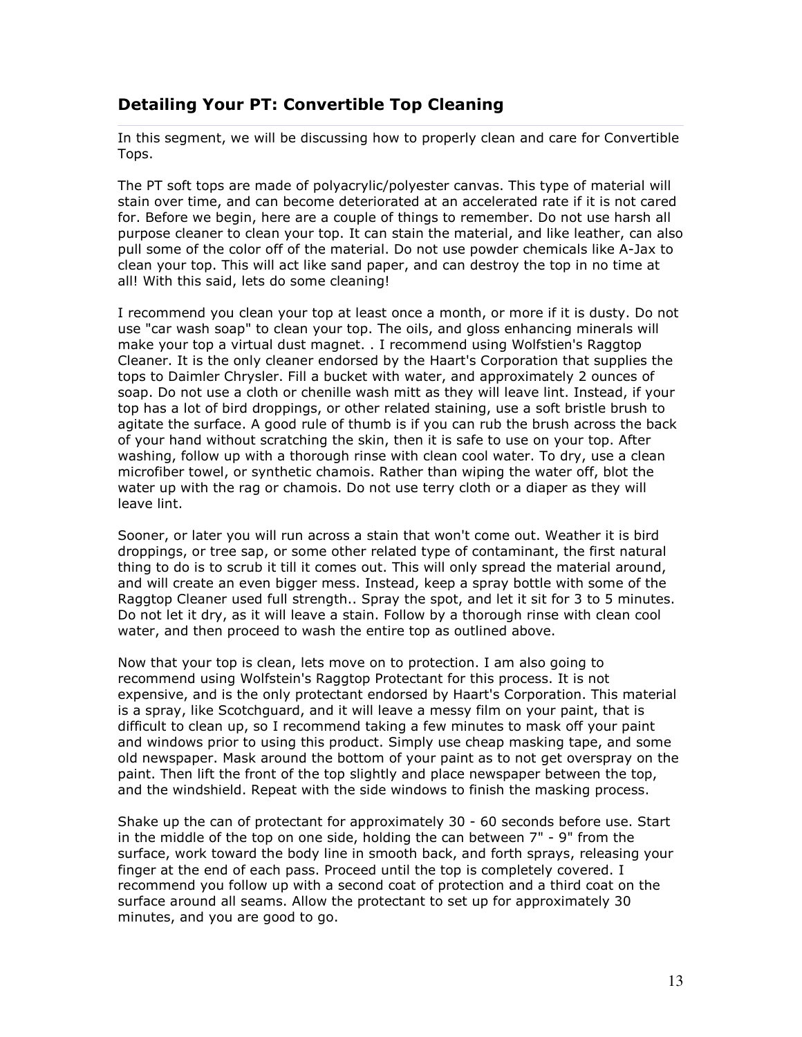# Detailing Your PT: Convertible Top Cleaning

In this segment, we will be discussing how to properly clean and care for Convertible Tops.

The PT soft tops are made of polyacrylic/polyester canvas. This type of material will stain over time, and can become deteriorated at an accelerated rate if it is not cared for. Before we begin, here are a couple of things to remember. Do not use harsh all purpose cleaner to clean your top. It can stain the material, and like leather, can also pull some of the color off of the material. Do not use powder chemicals like A-Jax to clean your top. This will act like sand paper, and can destroy the top in no time at all! With this said, lets do some cleaning!

I recommend you clean your top at least once a month, or more if it is dusty. Do not use "car wash soap" to clean your top. The oils, and gloss enhancing minerals will make your top a virtual dust magnet. . I recommend using Wolfstien's Raggtop Cleaner. It is the only cleaner endorsed by the Haart's Corporation that supplies the tops to Daimler Chrysler. Fill a bucket with water, and approximately 2 ounces of soap. Do not use a cloth or chenille wash mitt as they will leave lint. Instead, if your top has a lot of bird droppings, or other related staining, use a soft bristle brush to agitate the surface. A good rule of thumb is if you can rub the brush across the back of your hand without scratching the skin, then it is safe to use on your top. After washing, follow up with a thorough rinse with clean cool water. To dry, use a clean microfiber towel, or synthetic chamois. Rather than wiping the water off, blot the water up with the rag or chamois. Do not use terry cloth or a diaper as they will leave lint.

Sooner, or later you will run across a stain that won't come out. Weather it is bird droppings, or tree sap, or some other related type of contaminant, the first natural thing to do is to scrub it till it comes out. This will only spread the material around, and will create an even bigger mess. Instead, keep a spray bottle with some of the Raggtop Cleaner used full strength.. Spray the spot, and let it sit for 3 to 5 minutes. Do not let it dry, as it will leave a stain. Follow by a thorough rinse with clean cool water, and then proceed to wash the entire top as outlined above.

Now that your top is clean, lets move on to protection. I am also going to recommend using Wolfstein's Raggtop Protectant for this process. It is not expensive, and is the only protectant endorsed by Haart's Corporation. This material is a spray, like Scotchguard, and it will leave a messy film on your paint, that is difficult to clean up, so I recommend taking a few minutes to mask off your paint and windows prior to using this product. Simply use cheap masking tape, and some old newspaper. Mask around the bottom of your paint as to not get overspray on the paint. Then lift the front of the top slightly and place newspaper between the top, and the windshield. Repeat with the side windows to finish the masking process.

Shake up the can of protectant for approximately 30 - 60 seconds before use. Start in the middle of the top on one side, holding the can between 7" - 9" from the surface, work toward the body line in smooth back, and forth sprays, releasing your finger at the end of each pass. Proceed until the top is completely covered. I recommend you follow up with a second coat of protection and a third coat on the surface around all seams. Allow the protectant to set up for approximately 30 minutes, and you are good to go.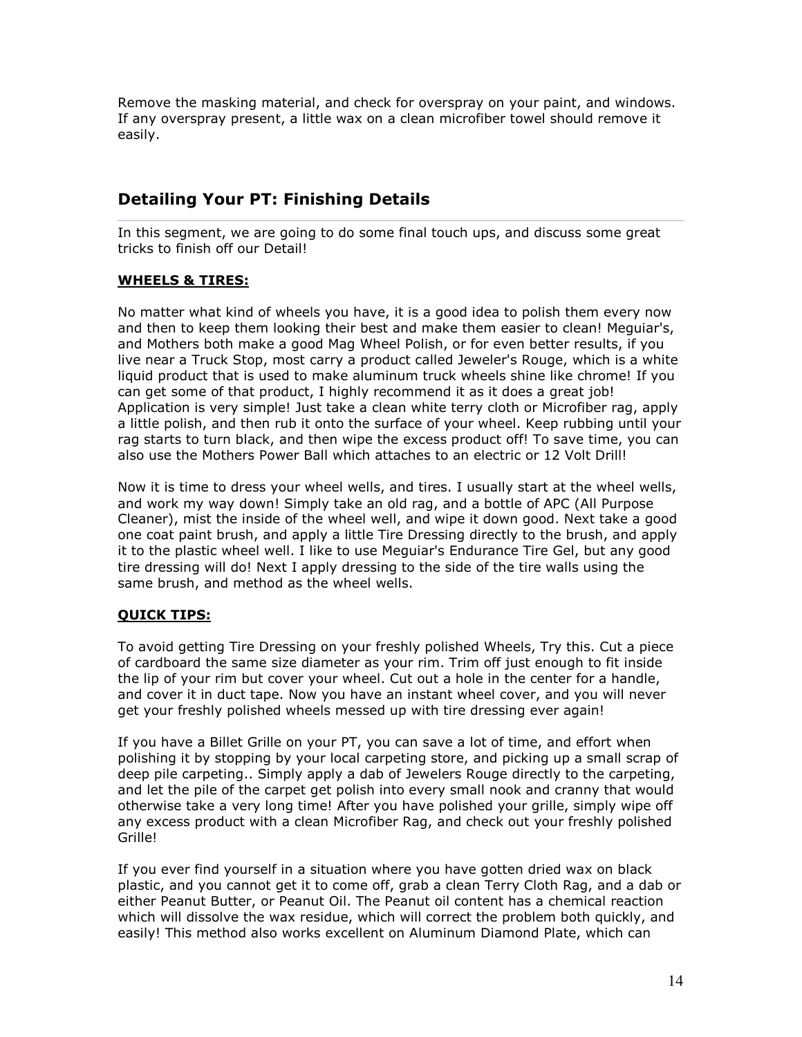Remove the masking material, and check for overspray on your paint, and windows. If any overspray present, a little wax on a clean microfiber towel should remove it easily.

# Detailing Your PT: Finishing Details

In this segment, we are going to do some final touch ups, and discuss some great tricks to finish off our Detail!

#### WHEELS & TIRES:

No matter what kind of wheels you have, it is a good idea to polish them every now and then to keep them looking their best and make them easier to clean! Meguiar's, and Mothers both make a good Mag Wheel Polish, or for even better results, if you live near a Truck Stop, most carry a product called Jeweler's Rouge, which is a white liquid product that is used to make aluminum truck wheels shine like chrome! If you can get some of that product, I highly recommend it as it does a great job! Application is very simple! Just take a clean white terry cloth or Microfiber rag, apply a little polish, and then rub it onto the surface of your wheel. Keep rubbing until your rag starts to turn black, and then wipe the excess product off! To save time, you can also use the Mothers Power Ball which attaches to an electric or 12 Volt Drill!

Now it is time to dress your wheel wells, and tires. I usually start at the wheel wells, and work my way down! Simply take an old rag, and a bottle of APC (All Purpose Cleaner), mist the inside of the wheel well, and wipe it down good. Next take a good one coat paint brush, and apply a little Tire Dressing directly to the brush, and apply it to the plastic wheel well. I like to use Meguiar's Endurance Tire Gel, but any good tire dressing will do! Next I apply dressing to the side of the tire walls using the same brush, and method as the wheel wells.

### QUICK TIPS:

To avoid getting Tire Dressing on your freshly polished Wheels, Try this. Cut a piece of cardboard the same size diameter as your rim. Trim off just enough to fit inside the lip of your rim but cover your wheel. Cut out a hole in the center for a handle, and cover it in duct tape. Now you have an instant wheel cover, and you will never get your freshly polished wheels messed up with tire dressing ever again!

If you have a Billet Grille on your PT, you can save a lot of time, and effort when polishing it by stopping by your local carpeting store, and picking up a small scrap of deep pile carpeting.. Simply apply a dab of Jewelers Rouge directly to the carpeting, and let the pile of the carpet get polish into every small nook and cranny that would otherwise take a very long time! After you have polished your grille, simply wipe off any excess product with a clean Microfiber Rag, and check out your freshly polished Grille!

If you ever find yourself in a situation where you have gotten dried wax on black plastic, and you cannot get it to come off, grab a clean Terry Cloth Rag, and a dab or either Peanut Butter, or Peanut Oil. The Peanut oil content has a chemical reaction which will dissolve the wax residue, which will correct the problem both quickly, and easily! This method also works excellent on Aluminum Diamond Plate, which can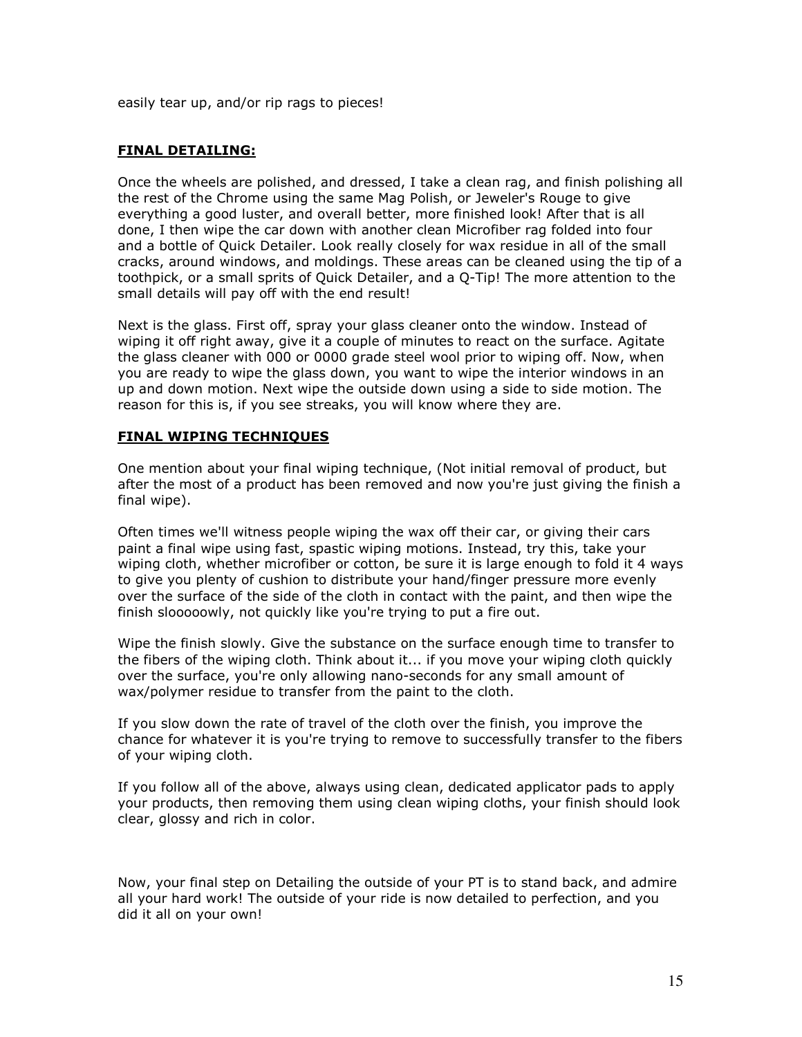easily tear up, and/or rip rags to pieces!

#### FINAL DETAILING:

Once the wheels are polished, and dressed, I take a clean rag, and finish polishing all the rest of the Chrome using the same Mag Polish, or Jeweler's Rouge to give everything a good luster, and overall better, more finished look! After that is all done, I then wipe the car down with another clean Microfiber rag folded into four and a bottle of Quick Detailer. Look really closely for wax residue in all of the small cracks, around windows, and moldings. These areas can be cleaned using the tip of a toothpick, or a small sprits of Quick Detailer, and a Q-Tip! The more attention to the small details will pay off with the end result!

Next is the glass. First off, spray your glass cleaner onto the window. Instead of wiping it off right away, give it a couple of minutes to react on the surface. Agitate the glass cleaner with 000 or 0000 grade steel wool prior to wiping off. Now, when you are ready to wipe the glass down, you want to wipe the interior windows in an up and down motion. Next wipe the outside down using a side to side motion. The reason for this is, if you see streaks, you will know where they are.

#### FINAL WIPING TECHNIQUES

One mention about your final wiping technique, (Not initial removal of product, but after the most of a product has been removed and now you're just giving the finish a final wipe).

Often times we'll witness people wiping the wax off their car, or giving their cars paint a final wipe using fast, spastic wiping motions. Instead, try this, take your wiping cloth, whether microfiber or cotton, be sure it is large enough to fold it 4 ways to give you plenty of cushion to distribute your hand/finger pressure more evenly over the surface of the side of the cloth in contact with the paint, and then wipe the finish slooooowly, not quickly like you're trying to put a fire out.

Wipe the finish slowly. Give the substance on the surface enough time to transfer to the fibers of the wiping cloth. Think about it... if you move your wiping cloth quickly over the surface, you're only allowing nano-seconds for any small amount of wax/polymer residue to transfer from the paint to the cloth.

If you slow down the rate of travel of the cloth over the finish, you improve the chance for whatever it is you're trying to remove to successfully transfer to the fibers of your wiping cloth.

If you follow all of the above, always using clean, dedicated applicator pads to apply your products, then removing them using clean wiping cloths, your finish should look clear, glossy and rich in color.

Now, your final step on Detailing the outside of your PT is to stand back, and admire all your hard work! The outside of your ride is now detailed to perfection, and you did it all on your own!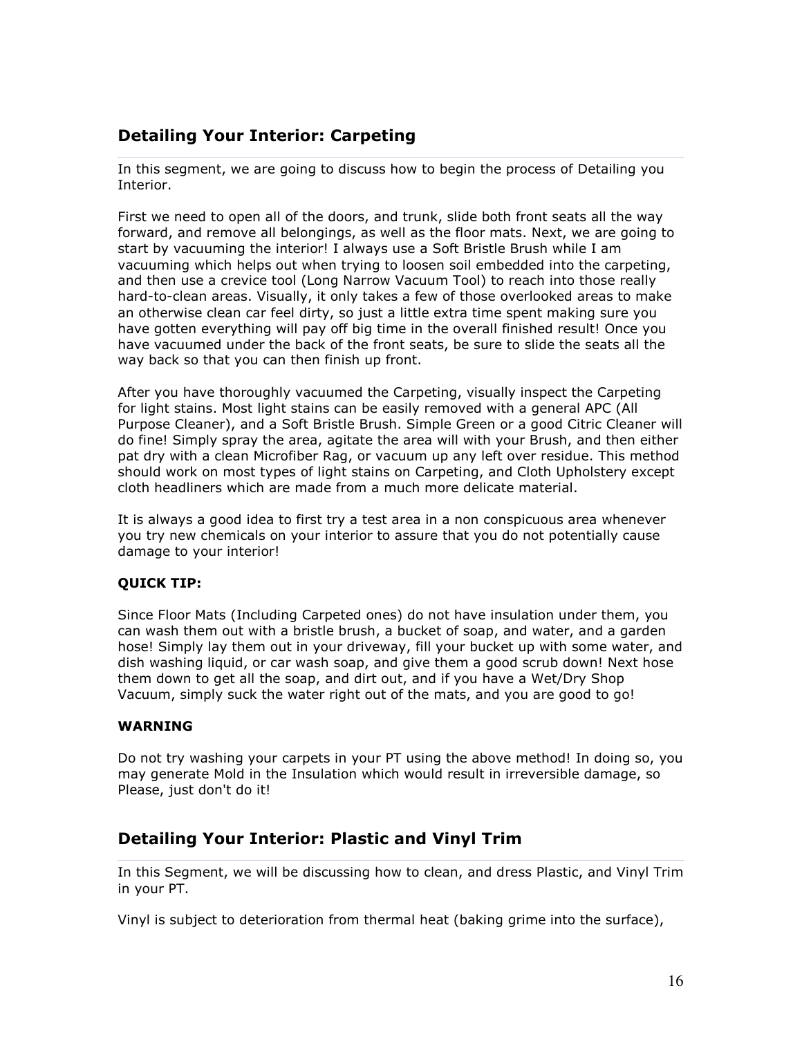# Detailing Your Interior: Carpeting

In this segment, we are going to discuss how to begin the process of Detailing you Interior.

First we need to open all of the doors, and trunk, slide both front seats all the way forward, and remove all belongings, as well as the floor mats. Next, we are going to start by vacuuming the interior! I always use a Soft Bristle Brush while I am vacuuming which helps out when trying to loosen soil embedded into the carpeting, and then use a crevice tool (Long Narrow Vacuum Tool) to reach into those really hard-to-clean areas. Visually, it only takes a few of those overlooked areas to make an otherwise clean car feel dirty, so just a little extra time spent making sure you have gotten everything will pay off big time in the overall finished result! Once you have vacuumed under the back of the front seats, be sure to slide the seats all the way back so that you can then finish up front.

After you have thoroughly vacuumed the Carpeting, visually inspect the Carpeting for light stains. Most light stains can be easily removed with a general APC (All Purpose Cleaner), and a Soft Bristle Brush. Simple Green or a good Citric Cleaner will do fine! Simply spray the area, agitate the area will with your Brush, and then either pat dry with a clean Microfiber Rag, or vacuum up any left over residue. This method should work on most types of light stains on Carpeting, and Cloth Upholstery except cloth headliners which are made from a much more delicate material.

It is always a good idea to first try a test area in a non conspicuous area whenever you try new chemicals on your interior to assure that you do not potentially cause damage to your interior!

#### QUICK TIP:

Since Floor Mats (Including Carpeted ones) do not have insulation under them, you can wash them out with a bristle brush, a bucket of soap, and water, and a garden hose! Simply lay them out in your driveway, fill your bucket up with some water, and dish washing liquid, or car wash soap, and give them a good scrub down! Next hose them down to get all the soap, and dirt out, and if you have a Wet/Dry Shop Vacuum, simply suck the water right out of the mats, and you are good to go!

#### WARNING

Do not try washing your carpets in your PT using the above method! In doing so, you may generate Mold in the Insulation which would result in irreversible damage, so Please, just don't do it!

# Detailing Your Interior: Plastic and Vinyl Trim

In this Segment, we will be discussing how to clean, and dress Plastic, and Vinyl Trim in your PT.

Vinyl is subject to deterioration from thermal heat (baking grime into the surface),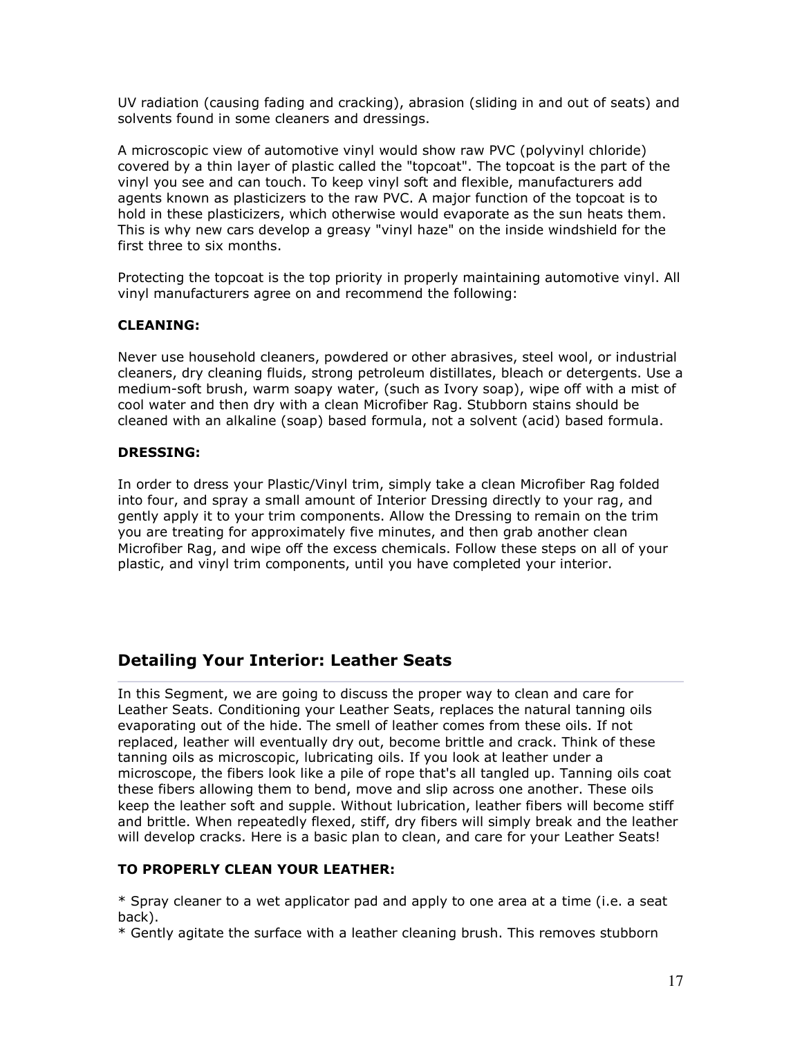UV radiation (causing fading and cracking), abrasion (sliding in and out of seats) and solvents found in some cleaners and dressings.

A microscopic view of automotive vinyl would show raw PVC (polyvinyl chloride) covered by a thin layer of plastic called the "topcoat". The topcoat is the part of the vinyl you see and can touch. To keep vinyl soft and flexible, manufacturers add agents known as plasticizers to the raw PVC. A major function of the topcoat is to hold in these plasticizers, which otherwise would evaporate as the sun heats them. This is why new cars develop a greasy "vinyl haze" on the inside windshield for the first three to six months.

Protecting the topcoat is the top priority in properly maintaining automotive vinyl. All vinyl manufacturers agree on and recommend the following:

#### CLEANING:

Never use household cleaners, powdered or other abrasives, steel wool, or industrial cleaners, dry cleaning fluids, strong petroleum distillates, bleach or detergents. Use a medium-soft brush, warm soapy water, (such as Ivory soap), wipe off with a mist of cool water and then dry with a clean Microfiber Rag. Stubborn stains should be cleaned with an alkaline (soap) based formula, not a solvent (acid) based formula.

#### DRESSING:

In order to dress your Plastic/Vinyl trim, simply take a clean Microfiber Rag folded into four, and spray a small amount of Interior Dressing directly to your rag, and gently apply it to your trim components. Allow the Dressing to remain on the trim you are treating for approximately five minutes, and then grab another clean Microfiber Rag, and wipe off the excess chemicals. Follow these steps on all of your plastic, and vinyl trim components, until you have completed your interior.

# Detailing Your Interior: Leather Seats

In this Segment, we are going to discuss the proper way to clean and care for Leather Seats. Conditioning your Leather Seats, replaces the natural tanning oils evaporating out of the hide. The smell of leather comes from these oils. If not replaced, leather will eventually dry out, become brittle and crack. Think of these tanning oils as microscopic, lubricating oils. If you look at leather under a microscope, the fibers look like a pile of rope that's all tangled up. Tanning oils coat these fibers allowing them to bend, move and slip across one another. These oils keep the leather soft and supple. Without lubrication, leather fibers will become stiff and brittle. When repeatedly flexed, stiff, dry fibers will simply break and the leather will develop cracks. Here is a basic plan to clean, and care for your Leather Seats!

#### TO PROPERLY CLEAN YOUR LEATHER:

\* Spray cleaner to a wet applicator pad and apply to one area at a time (i.e. a seat back).

\* Gently agitate the surface with a leather cleaning brush. This removes stubborn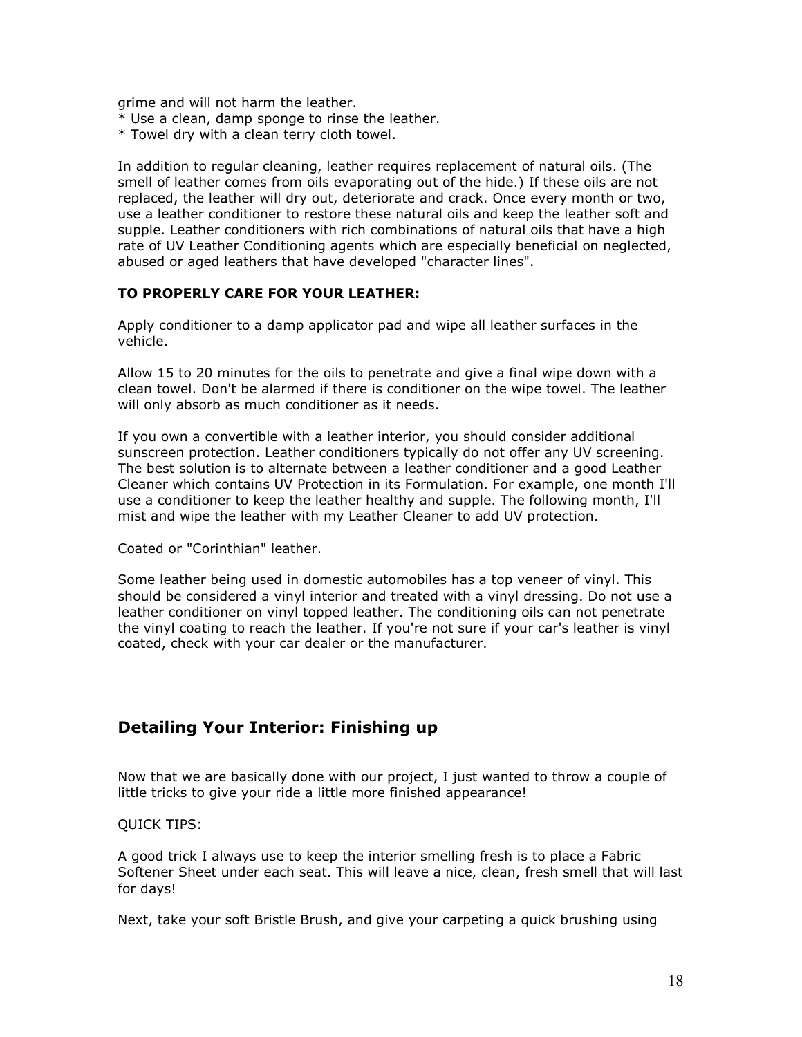grime and will not harm the leather.

- \* Use a clean, damp sponge to rinse the leather.
- \* Towel dry with a clean terry cloth towel.

In addition to regular cleaning, leather requires replacement of natural oils. (The smell of leather comes from oils evaporating out of the hide.) If these oils are not replaced, the leather will dry out, deteriorate and crack. Once every month or two, use a leather conditioner to restore these natural oils and keep the leather soft and supple. Leather conditioners with rich combinations of natural oils that have a high rate of UV Leather Conditioning agents which are especially beneficial on neglected, abused or aged leathers that have developed "character lines".

#### TO PROPERLY CARE FOR YOUR LEATHER:

Apply conditioner to a damp applicator pad and wipe all leather surfaces in the vehicle.

Allow 15 to 20 minutes for the oils to penetrate and give a final wipe down with a clean towel. Don't be alarmed if there is conditioner on the wipe towel. The leather will only absorb as much conditioner as it needs.

If you own a convertible with a leather interior, you should consider additional sunscreen protection. Leather conditioners typically do not offer any UV screening. The best solution is to alternate between a leather conditioner and a good Leather Cleaner which contains UV Protection in its Formulation. For example, one month I'll use a conditioner to keep the leather healthy and supple. The following month, I'll mist and wipe the leather with my Leather Cleaner to add UV protection.

Coated or "Corinthian" leather.

Some leather being used in domestic automobiles has a top veneer of vinyl. This should be considered a vinyl interior and treated with a vinyl dressing. Do not use a leather conditioner on vinyl topped leather. The conditioning oils can not penetrate the vinyl coating to reach the leather. If you're not sure if your car's leather is vinyl coated, check with your car dealer or the manufacturer.

### Detailing Your Interior: Finishing up

Now that we are basically done with our project, I just wanted to throw a couple of little tricks to give your ride a little more finished appearance!

QUICK TIPS:

A good trick I always use to keep the interior smelling fresh is to place a Fabric Softener Sheet under each seat. This will leave a nice, clean, fresh smell that will last for days!

Next, take your soft Bristle Brush, and give your carpeting a quick brushing using